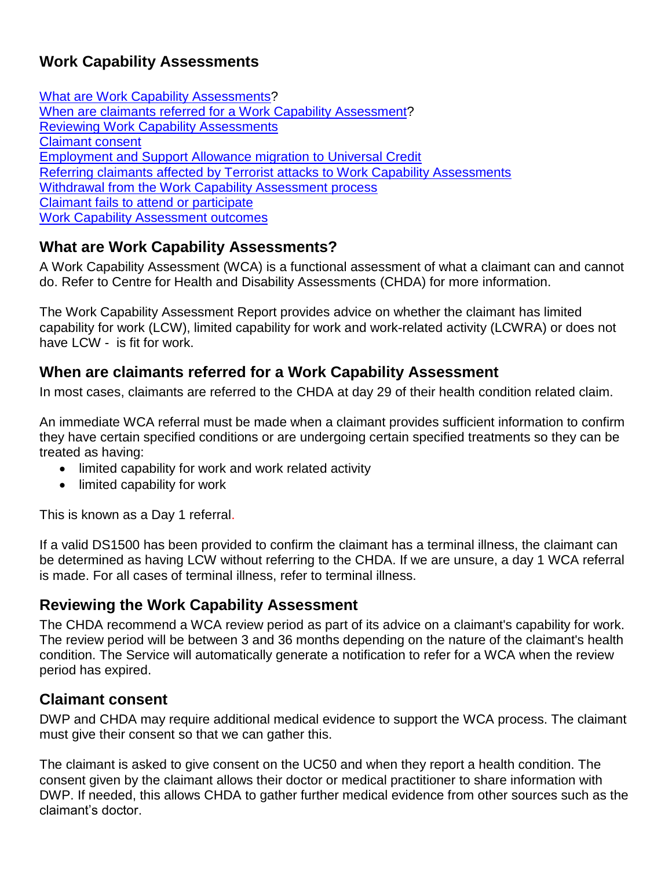# **Work Capability Assessments**

<span id="page-0-3"></span>[What are Work Capability Assessments?](#page-0-0) [When are claimants referred for](#page-0-1) a Work Capability Assessment? [Reviewing Work Capability Assessments](#page-0-2) [Claimant consent](#page-0-2) [Employment and Support Allowance migration to Universal Credit](#page-1-0) [Referring claimants affected by Terrorist attacks to Work Capability Assessments](#page-2-0) [Withdrawal from the Work Capability Assessment process](#page-2-1) [Claimant fails to attend or participate](#page-2-2) [Work Capability Assessment outcomes](#page-3-0)

## <span id="page-0-0"></span>**What are Work Capability Assessments?**

A Work Capability Assessment (WCA) is a functional assessment of what a claimant can and cannot do. Refer to Centre for Health and Disability Assessments (CHDA) for more information.

The Work Capability Assessment Report provides advice on whether the claimant has limited capability for work (LCW), limited capability for work and work-related activity (LCWRA) or does not have LCW - is fit for work.

### <span id="page-0-1"></span>**When are claimants referred for a Work Capability Assessment**

In most cases, claimants are referred to the CHDA at day 29 of their health condition related claim.

An immediate WCA referral must be made when a claimant provides sufficient information to confirm they have certain specified conditions or are undergoing certain specified treatments so they can be treated as having:

- limited capability for work and work related activity
- limited capability for work

This is known as a Day 1 referral.

If a valid DS1500 has been provided to confirm the claimant has a terminal illness, the claimant can be determined as having LCW without referring to the CHDA. If we are unsure, a day 1 WCA referral is made. For all cases of terminal illness, refer to terminal illness.

#### **Reviewing the Work Capability Assessment**

The CHDA recommend a WCA review period as part of its advice on a claimant's capability for work. The review period will be between 3 and 36 months depending on the nature of the claimant's health condition. The Service will automatically generate a notification to refer for a WCA when the review period has expired.

#### <span id="page-0-2"></span>**Claimant consent**

DWP and CHDA may require additional medical evidence to support the WCA process. The claimant must give their consent so that we can gather this.

The claimant is asked to give consent on the UC50 and when they report a health condition. The consent given by the claimant allows their doctor or medical practitioner to share information with DWP. If needed, this allows CHDA to gather further medical evidence from other sources such as the claimant's doctor.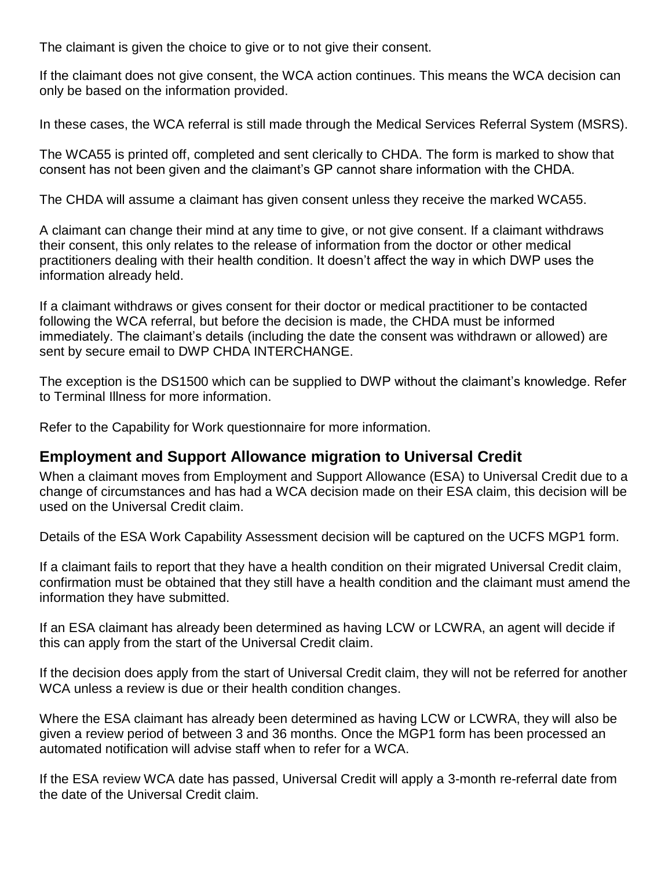The claimant is given the choice to give or to not give their consent.

If the claimant does not give consent, the WCA action continues. This means the WCA decision can only be based on the information provided.

In these cases, the WCA referral is still made through the Medical Services Referral System (MSRS).

The WCA55 is printed off, completed and sent clerically to CHDA. The form is marked to show that consent has not been given and the claimant's GP cannot share information with the CHDA.

The CHDA will assume a claimant has given consent unless they receive the marked WCA55.

A claimant can change their mind at any time to give, or not give consent. If a claimant withdraws their consent, this only relates to the release of information from the doctor or other medical practitioners dealing with their health condition. It doesn't affect the way in which DWP uses the information already held.

If a claimant withdraws or gives consent for their doctor or medical practitioner to be contacted following the WCA referral, but before the decision is made, the CHDA must be informed immediately. The claimant's details (including the date the consent was withdrawn or allowed) are sent by secure email to DWP CHDA INTERCHANGE.

The exception is the DS1500 which can be supplied to DWP without the claimant's knowledge. Refer to Terminal Illness for more information.

Refer to the Capability for Work questionnaire for more information.

## <span id="page-1-0"></span>**Employment and Support Allowance migration to Universal Credit**

When a claimant moves from Employment and Support Allowance (ESA) to Universal Credit due to a change of circumstances and has had a WCA decision made on their ESA claim, this decision will be used on the Universal Credit claim.

Details of the ESA Work Capability Assessment decision will be captured on the UCFS MGP1 form.

If a claimant fails to report that they have a health condition on their migrated Universal Credit claim, confirmation must be obtained that they still have a health condition and the claimant must amend the information they have submitted.

If an ESA claimant has already been determined as having LCW or LCWRA, an agent will decide if this can apply from the start of the Universal Credit claim.

If the decision does apply from the start of Universal Credit claim, they will not be referred for another WCA unless a review is due or their health condition changes.

Where the ESA claimant has already been determined as having LCW or LCWRA, they will also be given a review period of between 3 and 36 months. Once the MGP1 form has been processed an automated notification will advise staff when to refer for a WCA.

If the ESA review WCA date has passed, Universal Credit will apply a 3-month re-referral date from the date of the Universal Credit claim.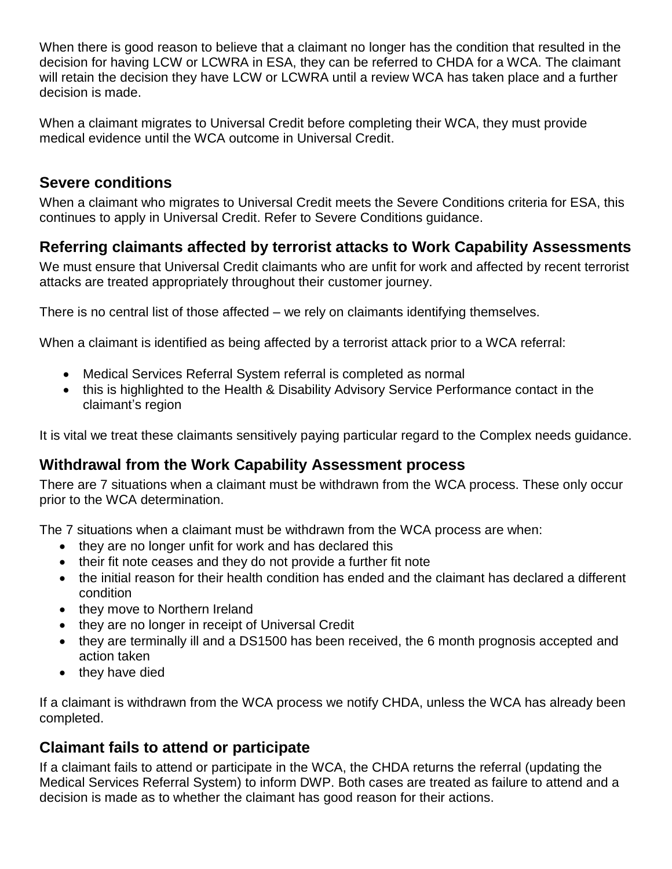When there is good reason to believe that a claimant no longer has the condition that resulted in the decision for having LCW or LCWRA in ESA, they can be referred to CHDA for a WCA. The claimant will retain the decision they have LCW or LCWRA until a review WCA has taken place and a further decision is made.

When a claimant migrates to Universal Credit before completing their WCA, they must provide medical evidence until the WCA outcome in Universal Credit.

### **Severe conditions**

When a claimant who migrates to Universal Credit meets the Severe Conditions criteria for ESA, this continues to apply in Universal Credit. Refer to Severe Conditions guidance.

### <span id="page-2-0"></span>**Referring claimants affected by terrorist attacks to Work Capability Assessments**

We must ensure that Universal Credit claimants who are unfit for work and affected by recent terrorist attacks are treated appropriately throughout their customer journey.

There is no central list of those affected – we rely on claimants identifying themselves.

When a claimant is identified as being affected by a terrorist attack prior to a WCA referral:

- Medical Services Referral System referral is completed as normal
- this is highlighted to the Health & Disability Advisory Service Performance contact in the claimant's region

It is vital we treat these claimants sensitively paying particular regard to the Complex needs guidance.

#### <span id="page-2-1"></span>**Withdrawal from the Work Capability Assessment process**

There are 7 situations when a claimant must be withdrawn from the WCA process. These only occur prior to the WCA determination.

The 7 situations when a claimant must be withdrawn from the WCA process are when:

- they are no longer unfit for work and has declared this
- their fit note ceases and they do not provide a further fit note
- the initial reason for their health condition has ended and the claimant has declared a different condition
- they move to Northern Ireland
- they are no longer in receipt of Universal Credit
- they are terminally ill and a DS1500 has been received, the 6 month prognosis accepted and action taken
- they have died

If a claimant is withdrawn from the WCA process we notify CHDA, unless the WCA has already been completed.

## <span id="page-2-2"></span>**Claimant fails to attend or participate**

If a claimant fails to attend or participate in the WCA, the CHDA returns the referral (updating the Medical Services Referral System) to inform DWP. Both cases are treated as failure to attend and a decision is made as to whether the claimant has good reason for their actions.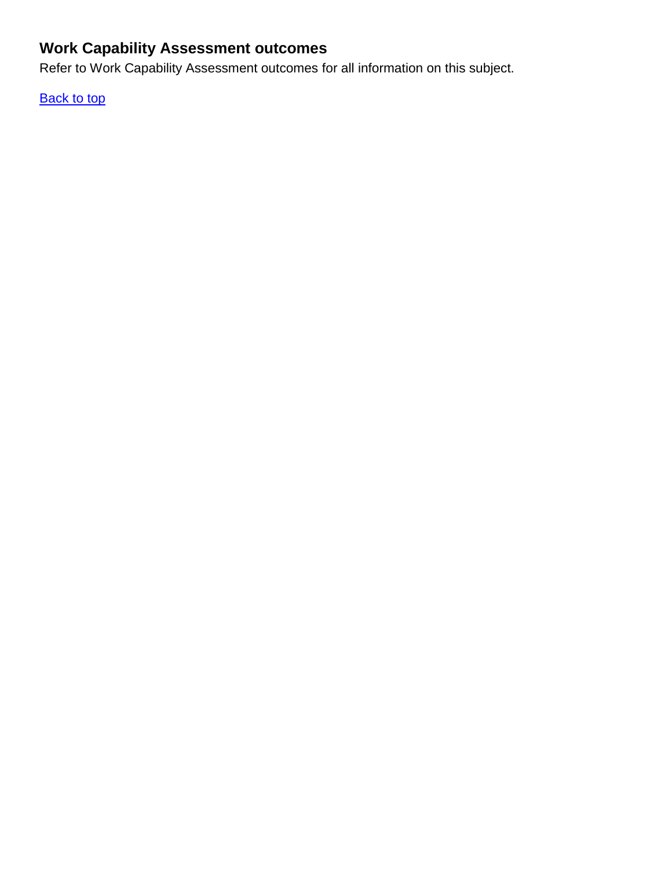# <span id="page-3-0"></span>**Work Capability Assessment outcomes**

Refer to Work Capability Assessment outcomes for all information on this subject.

**[Back to top](#page-0-3)**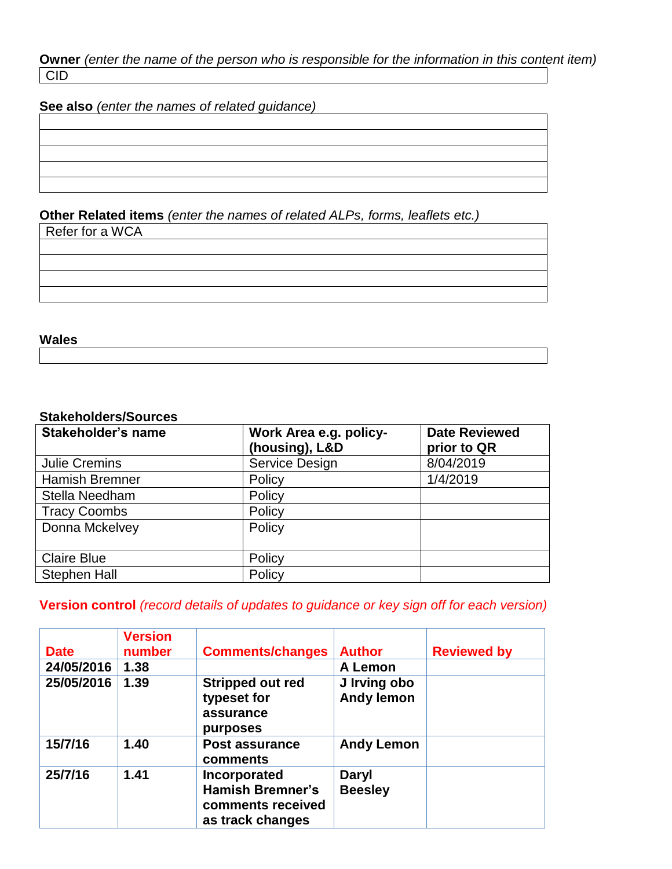**Owner** *(enter the name of the person who is responsible for the information in this content item)* CID

**See also** *(enter the names of related guidance)*

#### **Other Related items** *(enter the names of related ALPs, forms, leaflets etc.)*

Refer for a WCA

**Wales** 

#### **Stakeholders/Sources**

| Stakeholder's name    | Work Area e.g. policy-<br>(housing), L&D | <b>Date Reviewed</b><br>prior to QR |
|-----------------------|------------------------------------------|-------------------------------------|
| <b>Julie Cremins</b>  | Service Design                           | 8/04/2019                           |
| <b>Hamish Bremner</b> | Policy                                   | 1/4/2019                            |
| Stella Needham        | Policy                                   |                                     |
| <b>Tracy Coombs</b>   | Policy                                   |                                     |
| Donna Mckelvey        | Policy                                   |                                     |
| <b>Claire Blue</b>    | Policy                                   |                                     |
| <b>Stephen Hall</b>   | Policy                                   |                                     |

#### **Version control** *(record details of updates to guidance or key sign off for each version)*

| <b>Date</b> | <b>Version</b><br>number | <b>Comments/changes</b>                                                          | <b>Author</b>                     | <b>Reviewed by</b> |
|-------------|--------------------------|----------------------------------------------------------------------------------|-----------------------------------|--------------------|
| 24/05/2016  | 1.38                     |                                                                                  | A Lemon                           |                    |
| 25/05/2016  | 1.39                     | <b>Stripped out red</b><br>typeset for<br>assurance<br>purposes                  | J Irving obo<br><b>Andy lemon</b> |                    |
| 15/7/16     | 1.40                     | Post assurance<br>comments                                                       | <b>Andy Lemon</b>                 |                    |
| 25/7/16     | 1.41                     | Incorporated<br><b>Hamish Bremner's</b><br>comments received<br>as track changes | <b>Daryl</b><br><b>Beesley</b>    |                    |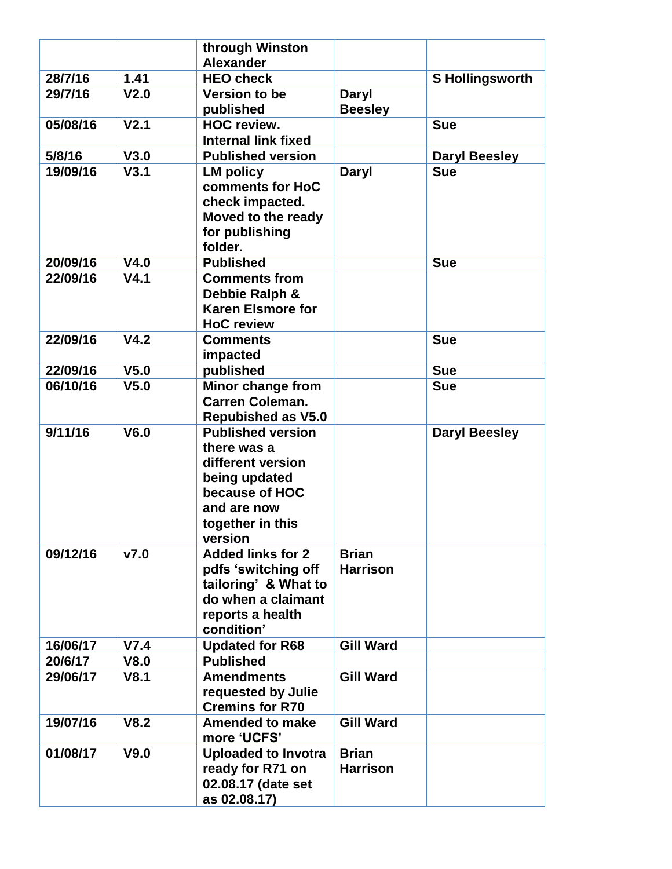|          |                  | through Winston<br><b>Alexander</b>                                                                                                           |                                 |                        |
|----------|------------------|-----------------------------------------------------------------------------------------------------------------------------------------------|---------------------------------|------------------------|
| 28/7/16  | 1.41             | <b>HEO check</b>                                                                                                                              |                                 | <b>S Hollingsworth</b> |
| 29/7/16  | V <sub>2.0</sub> | <b>Version to be</b>                                                                                                                          | <b>Daryl</b>                    |                        |
|          |                  | published                                                                                                                                     | <b>Beesley</b>                  |                        |
| 05/08/16 | V <sub>2.1</sub> | <b>HOC review.</b>                                                                                                                            |                                 | <b>Sue</b>             |
|          |                  | <b>Internal link fixed</b>                                                                                                                    |                                 |                        |
| 5/8/16   | V3.0             | <b>Published version</b>                                                                                                                      |                                 | <b>Daryl Beesley</b>   |
| 19/09/16 | V3.1             | <b>LM policy</b><br>comments for HoC<br>check impacted.<br>Moved to the ready<br>for publishing<br>folder.                                    | <b>Daryl</b>                    | <b>Sue</b>             |
| 20/09/16 | V4.0             | <b>Published</b>                                                                                                                              |                                 | <b>Sue</b>             |
| 22/09/16 | V4.1             | <b>Comments from</b><br>Debbie Ralph &<br><b>Karen Elsmore for</b><br><b>HoC</b> review                                                       |                                 |                        |
| 22/09/16 | V4.2             | <b>Comments</b><br>impacted                                                                                                                   |                                 | <b>Sue</b>             |
| 22/09/16 | V <sub>5.0</sub> | published                                                                                                                                     |                                 | <b>Sue</b>             |
| 06/10/16 | V <sub>5.0</sub> | Minor change from<br><b>Carren Coleman.</b><br><b>Repubished as V5.0</b>                                                                      |                                 | <b>Sue</b>             |
| 9/11/16  | V6.0             | <b>Published version</b><br>there was a<br>different version<br>being updated<br>because of HOC<br>and are now<br>together in this<br>version |                                 | <b>Daryl Beesley</b>   |
| 09/12/16 | V7.0             | <b>Added links for 2</b><br>pdfs 'switching off<br>tailoring' & What to<br>do when a claimant<br>reports a health<br>condition'               | <b>Brian</b><br><b>Harrison</b> |                        |
| 16/06/17 | V7.4             | <b>Updated for R68</b>                                                                                                                        | <b>Gill Ward</b>                |                        |
| 20/6/17  | V8.0             | <b>Published</b>                                                                                                                              |                                 |                        |
| 29/06/17 | V8.1             | <b>Amendments</b><br>requested by Julie<br><b>Cremins for R70</b>                                                                             | <b>Gill Ward</b>                |                        |
| 19/07/16 | V8.2             | <b>Amended to make</b><br>more 'UCFS'                                                                                                         | <b>Gill Ward</b>                |                        |
| 01/08/17 | V9.0             | <b>Uploaded to Invotra</b><br>ready for R71 on<br>02.08.17 (date set<br>as 02.08.17)                                                          | <b>Brian</b><br><b>Harrison</b> |                        |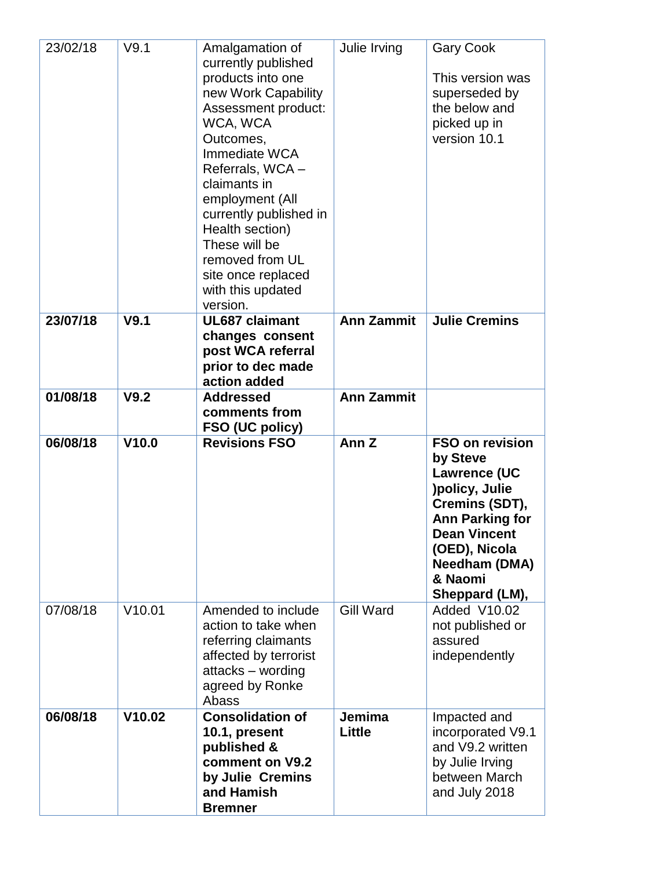| 23/02/18 | V9.1   | Amalgamation of<br>currently published<br>products into one<br>new Work Capability<br>Assessment product:<br>WCA, WCA<br>Outcomes,<br>Immediate WCA<br>Referrals, WCA-<br>claimants in<br>employment (All<br>currently published in<br>Health section)<br>These will be<br>removed from UL<br>site once replaced<br>with this updated<br>version. | Julie Irving            | <b>Gary Cook</b><br>This version was<br>superseded by<br>the below and<br>picked up in<br>version 10.1                                                                                                 |
|----------|--------|---------------------------------------------------------------------------------------------------------------------------------------------------------------------------------------------------------------------------------------------------------------------------------------------------------------------------------------------------|-------------------------|--------------------------------------------------------------------------------------------------------------------------------------------------------------------------------------------------------|
| 23/07/18 | V9.1   | <b>UL687 claimant</b><br>changes consent<br>post WCA referral<br>prior to dec made<br>action added                                                                                                                                                                                                                                                | <b>Ann Zammit</b>       | <b>Julie Cremins</b>                                                                                                                                                                                   |
| 01/08/18 | V9.2   | <b>Addressed</b><br>comments from<br>FSO (UC policy)                                                                                                                                                                                                                                                                                              | <b>Ann Zammit</b>       |                                                                                                                                                                                                        |
| 06/08/18 | V10.0  | <b>Revisions FSO</b>                                                                                                                                                                                                                                                                                                                              | Ann <sub>Z</sub>        | <b>FSO on revision</b><br>by Steve<br><b>Lawrence (UC</b><br>)policy, Julie<br>Cremins (SDT),<br><b>Ann Parking for</b><br>Dean Vincent<br>(OED), Nicola<br>Needham (DMA)<br>& Naomi<br>Sheppard (LM), |
| 07/08/18 | V10.01 | Amended to include<br>action to take when<br>referring claimants<br>affected by terrorist<br>attacks - wording<br>agreed by Ronke<br>Abass                                                                                                                                                                                                        | <b>Gill Ward</b>        | Added V10.02<br>not published or<br>assured<br>independently                                                                                                                                           |
| 06/08/18 | V10.02 | <b>Consolidation of</b><br>10.1, present<br>published &<br>comment on V9.2<br>by Julie Cremins<br>and Hamish<br><b>Bremner</b>                                                                                                                                                                                                                    | Jemima<br><b>Little</b> | Impacted and<br>incorporated V9.1<br>and V9.2 written<br>by Julie Irving<br>between March<br>and July 2018                                                                                             |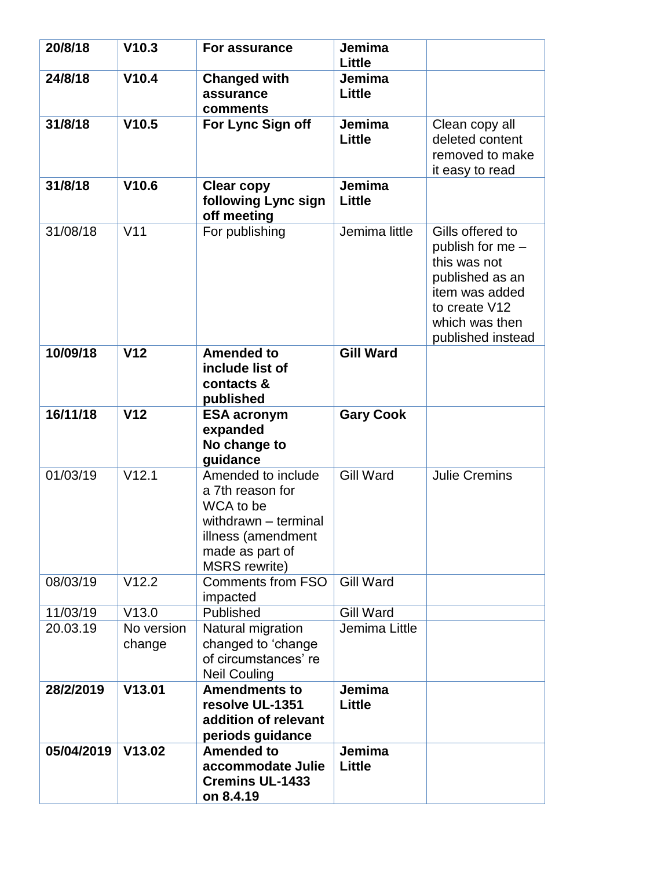| 20/8/18    | V10.3                | For assurance                                                                                                                                | Jemima<br>Little        |                                                                                                                                                   |
|------------|----------------------|----------------------------------------------------------------------------------------------------------------------------------------------|-------------------------|---------------------------------------------------------------------------------------------------------------------------------------------------|
| 24/8/18    | V10.4                | <b>Changed with</b><br>assurance<br>comments                                                                                                 | Jemima<br><b>Little</b> |                                                                                                                                                   |
| 31/8/18    | V10.5                | For Lync Sign off                                                                                                                            | Jemima<br>Little        | Clean copy all<br>deleted content<br>removed to make<br>it easy to read                                                                           |
| 31/8/18    | V10.6                | <b>Clear copy</b><br>following Lync sign<br>off meeting                                                                                      | Jemima<br>Little        |                                                                                                                                                   |
| 31/08/18   | V <sub>11</sub>      | For publishing                                                                                                                               | Jemima little           | Gills offered to<br>publish for me -<br>this was not<br>published as an<br>item was added<br>to create V12<br>which was then<br>published instead |
| 10/09/18   | V <sub>12</sub>      | <b>Amended to</b><br>include list of<br>contacts &<br>published                                                                              | <b>Gill Ward</b>        |                                                                                                                                                   |
| 16/11/18   | V <sub>12</sub>      | <b>ESA acronym</b><br>expanded<br>No change to<br>guidance                                                                                   | <b>Gary Cook</b>        |                                                                                                                                                   |
| 01/03/19   | V12.1                | Amended to include<br>a 7th reason for<br>WCA to be<br>withdrawn - terminal<br>illness (amendment<br>made as part of<br><b>MSRS</b> rewrite) | <b>Gill Ward</b>        | <b>Julie Cremins</b>                                                                                                                              |
| 08/03/19   | V12.2                | <b>Comments from FSO</b><br>impacted                                                                                                         | <b>Gill Ward</b>        |                                                                                                                                                   |
| 11/03/19   | V13.0                | Published                                                                                                                                    | <b>Gill Ward</b>        |                                                                                                                                                   |
| 20.03.19   | No version<br>change | Natural migration<br>changed to 'change<br>of circumstances' re<br><b>Neil Couling</b>                                                       | Jemima Little           |                                                                                                                                                   |
| 28/2/2019  | V13.01               | <b>Amendments to</b><br>resolve UL-1351<br>addition of relevant<br>periods guidance                                                          | Jemima<br><b>Little</b> |                                                                                                                                                   |
| 05/04/2019 | V13.02               | <b>Amended to</b><br>accommodate Julie<br><b>Cremins UL-1433</b><br>on 8.4.19                                                                | Jemima<br>Little        |                                                                                                                                                   |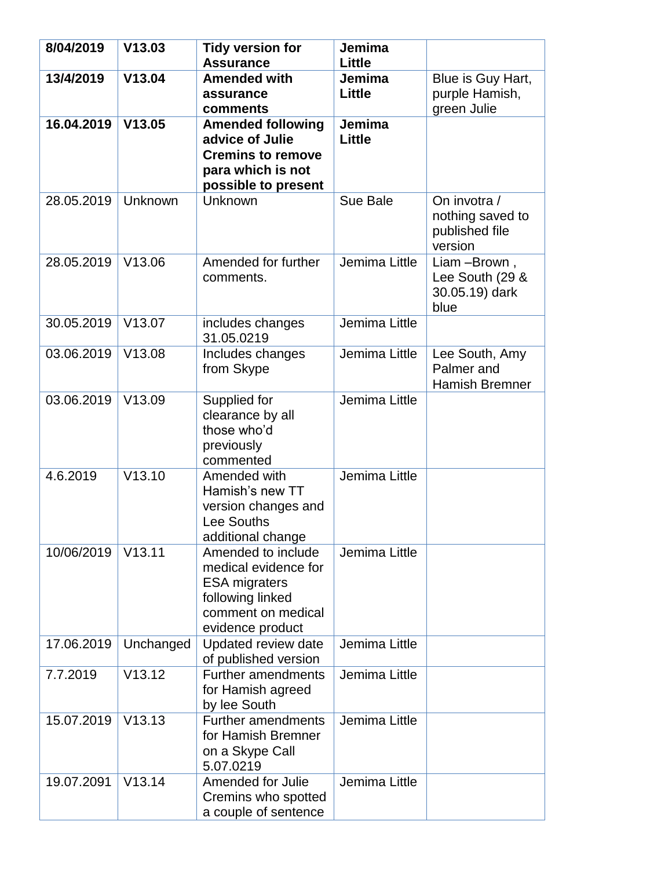| 8/04/2019  | V13.03    | <b>Tidy version for</b>                                                                                                          | Jemima           |                                                                 |
|------------|-----------|----------------------------------------------------------------------------------------------------------------------------------|------------------|-----------------------------------------------------------------|
|            |           | <b>Assurance</b>                                                                                                                 | Little           |                                                                 |
| 13/4/2019  | V13.04    | <b>Amended with</b><br>assurance<br>comments                                                                                     | Jemima<br>Little | Blue is Guy Hart,<br>purple Hamish,<br>green Julie              |
| 16.04.2019 | V13.05    | <b>Amended following</b><br>advice of Julie<br><b>Cremins to remove</b><br>para which is not<br>possible to present              | Jemima<br>Little |                                                                 |
| 28.05.2019 | Unknown   | Unknown                                                                                                                          | Sue Bale         | On invotra $/$<br>nothing saved to<br>published file<br>version |
| 28.05.2019 | V13.06    | Amended for further<br>comments.                                                                                                 | Jemima Little    | Liam -Brown,<br>Lee South (29 &<br>30.05.19) dark<br>blue       |
| 30.05.2019 | V13.07    | includes changes<br>31.05.0219                                                                                                   | Jemima Little    |                                                                 |
| 03.06.2019 | V13.08    | Includes changes<br>from Skype                                                                                                   | Jemima Little    | Lee South, Amy<br>Palmer and<br><b>Hamish Bremner</b>           |
| 03.06.2019 | V13.09    | Supplied for<br>clearance by all<br>those who'd<br>previously<br>commented                                                       | Jemima Little    |                                                                 |
| 4.6.2019   | V13.10    | Amended with<br>Hamish's new TT<br>version changes and<br>Lee Souths<br>additional change                                        | Jemima Little    |                                                                 |
| 10/06/2019 | V13.11    | Amended to include<br>medical evidence for<br><b>ESA migraters</b><br>following linked<br>comment on medical<br>evidence product | Jemima Little    |                                                                 |
| 17.06.2019 | Unchanged | Updated review date<br>of published version                                                                                      | Jemima Little    |                                                                 |
| 7.7.2019   | V13.12    | <b>Further amendments</b><br>for Hamish agreed<br>by lee South                                                                   | Jemima Little    |                                                                 |
| 15.07.2019 | V13.13    | <b>Further amendments</b><br>for Hamish Bremner<br>on a Skype Call<br>5.07.0219                                                  | Jemima Little    |                                                                 |
| 19.07.2091 | V13.14    | Amended for Julie<br>Cremins who spotted<br>a couple of sentence                                                                 | Jemima Little    |                                                                 |